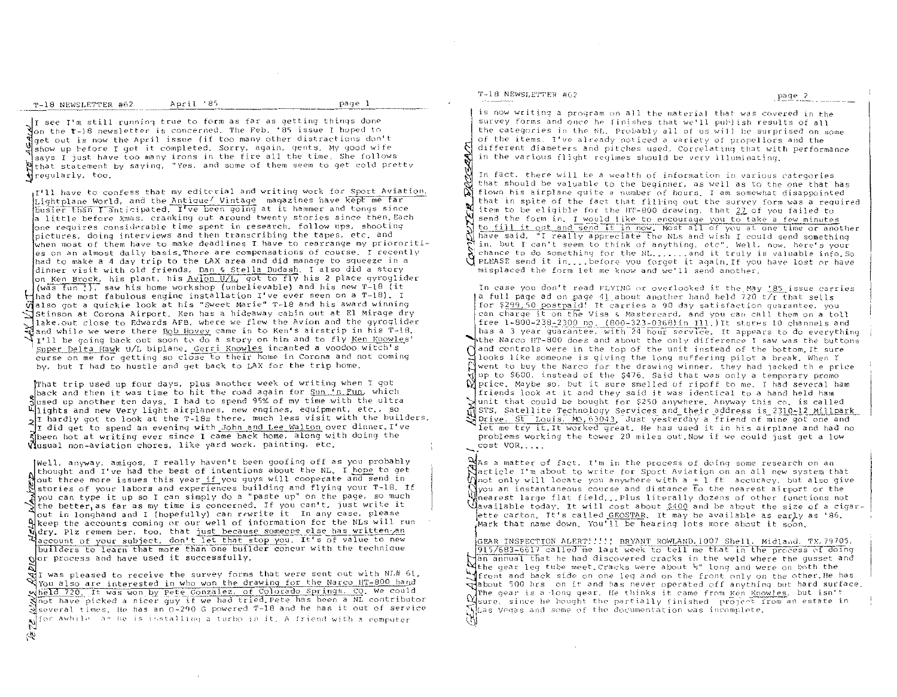T-18 NEWSLETTER #62

S)

It see I'm still running true to form as far as getting things done on the  $r-18$  newsletter is concerned. The Feb. '85 issue I hoped to get out is now the April issue (if too many other distractions don't show up before I get it completed. Sorry, again, gents, My good wife says I just have too many irons in the fire all the time. She follows Wthat statement by saying, "Yes, and some of them seem to get cold pretty <del>√</del>regularly, too,

I'll have to confess that my editorial and writing work for Sport Aviation, Lightplane World, and the Antique' Vintage magazines have kept me far busier than I anticipated. I've been going at it hammer and tongs since a little before Xmas, cranking out around twenty stories since then Each one requires considerable time spent in research, follow ups, shooting pictures, doing interviews and then transcribing the tapes, etc. and  $\mathfrak k$ when most of them have to make deadlines I have to rearrange my priororities on an almost daily basis. There are compensations of course, I recently had to make a 4 day trip to the LAX area and did manage to squeeze in a dinner visit with old friends, Dan & Stella Dudash. I also did a story on Ken Brock, his plant, his Avion U/L, got to fly his 2 place gyroglider (was fun !), saw his home workshop (unbelievable) and his new T-18 (it Hhad the most fabulous engine installation I've ever seen on a T-18). I Walso got a quickie look at his "Sweet Marie" T-18 and his award winning Stinson at Corona Airport. Ken has a hideaway cabin out at El Mirage dry lake out close to Edwards AFB, where we flew the Avion and the gyroglider ≹and while we were there <u>Bob Hovey</u> came in to Ken's airstrip in his T-18. I'll be going back out soon to do a story on him and to fly Ken Knowles' Super Delta Hawk U/L biplane. Gerri Knowles incanted a voodoo witch's curse on me for getting so close to their home in Corona and not coming by, but I had to hustle and get back to LAX for the trip home.

That trip used up four days, plus another week of writing when I got back and then it was time to hit the road again for <u>Sun 'n Fun</u>, which Slueed up another ten days. I had to spend 95% of my time with the ultra<br>hights and new Very light airplanes, new engines, equipment, etc., so all hardly got to look at the T-18s there, much less visit with the builders. I did get to spend an evening with John and Lee Walton over dinner. I've Sheen hot at writing ever since I came back home, along with doing the Wusual non-aviation chores, like yard work, painting, etc.

[Well, anyway, amigos, I really haven't been goofing off as you probably [thought and I've had the best of intentions about the NL. I hope to get out three more issues this year if you guys will cooperate and send in Sisteries of your labors and experiences building and flying your T-18. If Nyou can type it up so I can simply do a "paste up" on the page, so much<br>the better as far as my time is concerned. If you can't, just write it out in longhand and I (hopefully) can rewrite it In any case, please A keep the accounts coming or our well of information for the NLs will run<br>Udry. Plz remem ber, too, that just because someone clse has written an Haccount of your subject, don't let that stop you. It's of value to new builders to learn that more than one builder concur with the technique  $Q$  or process and have used it successfully.

 $\mathbb{R}$ I was pleased to receive the survey forms that were sent out with NL# 61, You also are interested in who won the drawing for the Narco HT-800 hand Wheld 720, It was won by Pete Gonzalez, of Colorado Springs, CO. We could<br>Nnot have picked a nicer guy if we had tried Pete has been a NL contributor<br>Several times. He has an 0-290 G powered T-18 and he has it out of servi Not awhile as he is installing a turbo in it. A friend with a computer

# T-18 NEWSLETTER #62

page 2

is now writing a program on all the material that was covered in the survey forms and once he finishes that we'll publish results of all the categories in the NL. Probably all of us will be surprised on some of the items. I've already noticed a variety of propellors and the different diameters and pitches used. Correlating that with performance in the various flight regimes should be very illuminating.

In fact, there will be a wealth of information in various categories that should be valuable to the beginner, as well as to the one that has flown his airplane quite a number of hours. I am somewhat disappointed that in spite of the fact that filling out the survey form was a required item to be eligible for the HT-800 drawing, that 27 of you failed to send the form in. I would like to encourage you to take a few minutes to fill it out and send it in now. Most all of you at one time or another have said, "I really appreciate the NLs and wish I could send something in, but I can't seem to think of anything, etc". Well, now, here's your chance to do something for the NL...... and it truly is valuable info. So PLEASE send it in....before you forget it again. If you have lost or have misplaced the form let me know and we'll send another.

In case you don't read FLYING or overlooked it the May 185 issue carries a full page ad on page 41 about another hand held 720 t/r that sells for \$299.50 postpaid! It carries a 90 day satisfaction quarantee, you can charge it on the Visa & Mastercard, and you can call them on a toll free 1-800-238-2300 no. (800-323-0368) in Ill.) It stores 10 channels and has a 3 year guarantee, with 24 hour service. It appears to do everything the Narco HT-800 does and about the only difference I saw was the buttons  $\int$  and controls were in the top of the unit instead of the bottom. It sure looks like someone is qiving the long suffering pilot a break. When I Nwent to buy the Narco for the drawing winner, they had jacked the price up to \$600, instead of the \$476. Said that was only a temporary promo  $\mathbb M$  price. Maybe so, but it sure smelled of ripoff to me. I had several ham friends look at it and they said it was identical to a hand held ham Sunit that could be bought for \$250 anywhere. Anyway this co. is called of STS, Satellite Technology Services and their address is 2310-12 Millpark Drive. St Louis, MO, 63043. Just yesterday a friend of mine got one and let me try it.It worked great. He has used it in his airplane and had no

problems working the tower 20 miles out Now if we could just get a low cost VOR.....

 $\mathbb{N}$ As a matter of fact, I'm in the process of doing some research on an Narticle I'm about to write for Sport Aviation on an all new system that Mnot only will locate you anywhere with  $a + 1$  ft accuracy, but also give  $\beta$ you an instantaneous course and distance to the nearest airport or the hearest large flat field...Plus literally dozens of other functions not Mavailable today. It will cost about \$400 and be about the size of a cigarette carton. It's called GEOSTAR. It may be available as early as '86. Mark that name down. You'll be hearing lots more about it soon.

GEAR INSPECTION ALERT!!!!! BRYANT ROWLAND, 1007 Shell, Midland, TX, 79705, 915/683-6617 called me last week to tell me that in the process of doing an annual that he had discovered cracks in the weld where the qusset and Withe gear leg tube meet Cracks were about 5" long and were on both the Miront and back side on one leg and on the front only on the other. He has edabout 500 hrs on it and has never operated off anything but hard surface. The gear is a long gear. He thinks it came from Ken Knowles, but isn't Misure, since he bought the partially finished project from an estate in  $\rm M$  as Vegas and some of the documentation was incomplete.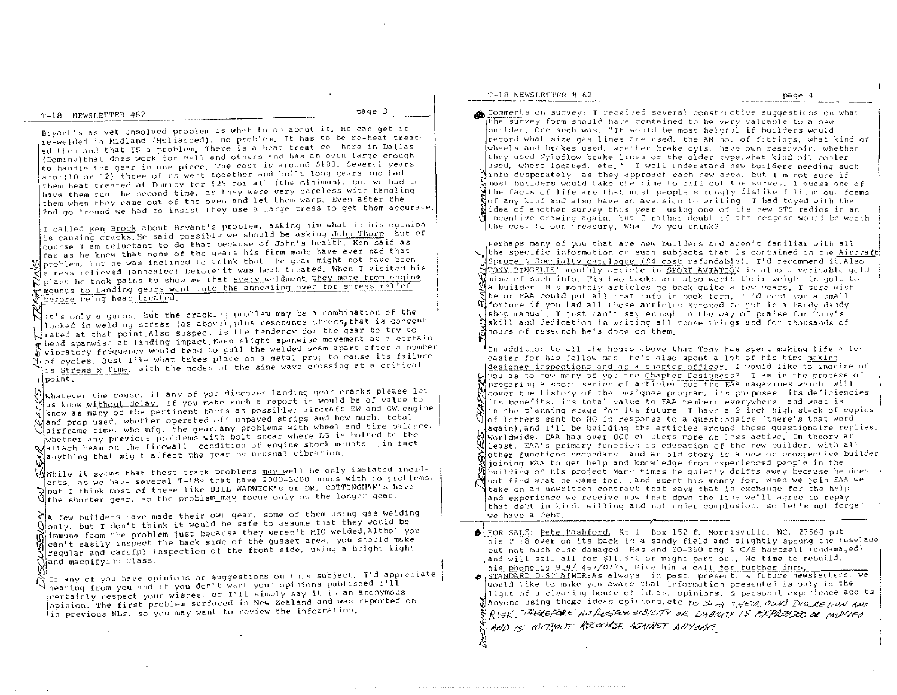T-18 NEWSLETTER #62 page 3

Bryant's as yet unsolved problem is what to do about it. Be can get it re-welded in Midland (Bel iar:ced), no problem. It has to be re-heat treated then and that IS a problem. There is a heat treat cookere in Dallas (Dominy) that does work for Bell and others and has an oven large enouqh to handle the gear in one piece. The cost is around \$100. Several years ago' (10 or 12) three of us went toqether and built long gears and had flave them fun the Sceolo cracy of the mand let them warp. Even after the ' them heat treated at Dominy for \$2<; for all (the minimum), but we had to have them run the second time. as they were very careless with handling 2nd go 'round we had to insist they use a large press to get them accurate.

I called <u>Ken Brock</u> about Bryant's problem, asking him what in his opinion<br>is causing cracks.He said possibly we should be asking John Thorp, but of I called Ken Brock about Bryant's problem, asking him what in his opinion We problem, but he was inclined to think that the gear might not have been<br>stress relieved (annealed) before it was heat treated. When I visited his<br>blant he took pains to show we that every weldment they made from engine course I am reluctant to do that because of John's health. Ken said as far as he knew that none of the gears his firm made have *ever* had that mounts to landing gears went into the annealing *oven* for stress relief before reing heat treated.

NIt's only a guess, but the cracking problem may be a combination of the locked in welding stress (as above) plus resonance stress, that is concentrated at that point.Also suspect is the tendency for the gear to try to thend spanwise at landing impact. Even slight spanwise movement at a certain W vibratory frequency would tend to pull the welded seam apart after a number of cycles. Just like what takes place on a metal prop to cause its failure is Stress x Time, with the nodes of the sine wave crossing at a critical point-.

 $\%$  whatever the cause, if any of you discover landing gear cracks please let Whus know without delay, If you make such a report it would be of value to  $\frac{1}{N}$ know as many of the pertinent facts as possible: aircraft EW and GW, engine and prop used, whether operated off unpaved strips and how much, total \ airframe time, who mfg. the gear. any problems with wheel and tire balance. whether any previous problems with bolt shear where LG is bolted to the attach beam on the firewalL condition of engine shock mounts\_ .• in fact Wanything that might affect the gear by unusual vibration.

 $\{\tilde{\Lambda}\}$  While it seems that these crack problems  $\overline{\text{may}}$  well be only isolated incidents, as we have several T-18s that have  $2000$ -3000 hours with no protlems. Tents, as we have severally into BILL WARWICK's or DR. COTTINGHAM's have<br>That I think most of these like BILL WARWICK's or DR. COTTINGHAM's have

 $\zeta$ <sup>A</sup> few builders have made their own gear, some of them using gas welding \.) only. but I don't think it would be safe to assume that they would be  $\widetilde{0}$  immune from the problem just because they weren't MIG welded. Altho' you W can't easily inspect the back side of the gusset area, you should make  $\alpha$  regular and careful inspection of the front side, using a bright light Jiregular and carefur r<br>(Jiand magnifying glass.

V<sub>i</sub>;<br>∧ If any of you have opinions or suggestions on this subject. I'd appreciate hearing from you and if you don't want your opinions published I'll ;certainly respect your wishes. or I'll simply say it is an anonymous l in previous NLs. so you may want to review the information. opinion. The first problem surfaced in New Zealand and was reported on

T-18 NEWSLETTER # 62 page 4

Comments on survey: I received several constructive suggestions on what the survey form should have contained to be very valuable to a new builder. One such was, "It would be most helpful if builders would record what size gas lines are used. the AN no. of fittinqs. what kind of wheels and brakes used, whether brake cyls. have own reservoir, whether they used Nyloflow brake lines or the older type. what kind oil cooler used, where located, etc I well understand new builders needing such info desperately as they approach each new area, but T'm not sure if A most builders would take the time to fill out the survey. I guess one of the facts of life are that most people strongly dislike filling out forms<br>of any kind and also have as aversion to writing. I had toyed with the  $\ddot{\rm M}$ idea of another survey this year, using one of the new STS radios in an incentive drawing again. but I rather doubt if the respase would be worth the cost to our treasury. What do you think?

the specific information on such subjects that is contained in the Aircraft Perhaps many of you that are new builders and aron't familiar with all dSpruce & Specialty cataloque (\$4 cost refundable). I'd recommend it.Also TONY BINGELIS' monthly article in SPORT AVIATION is also a veritable gold mine of such info. His two books are also worth their weight in gold to a builder His monthly art icles go back quite a few years. I sure wish he or £AA could put all that info in book form. It'd cost you a small  $\mathfrak A$  fortune if you had all those articles Xeroxed to put in a handy-dandy shop manual. I just can't say enough in the way of praise for Tony's  $\Xi$ skill and dedication in writing all those things and for thousands of dhours of research he's done on them.

In addition to all the hours above that Tony has spent making life a lot easier for his fellow man. he's also spent a lot of his time making designee inspections and as a chapter officer. I would like to inquire of  $\mu$  you as to how many of you are Chapter Designees? I am in the process of preparing a short series of articles for the EAA magazines which Will cover the histot"y of the Designee program, its purposes, its deficiencies, its benefits, its total value to EAA members everywhere, and what is Win the planning stage for its future. I have a 2 inch high stack of copies  $\bigcup$  of letters sent to  $f$ 0 in response to a questionaire (there's that word againl,and I'll be building tre articles around those Questionaire replies. Worldwide, EAA has over 800 c) where more or less active. In theory at  $\mathbb{R}$  least. EAA's primary function is education of the new builder. with all other functions secondary. and an old story is a new or prospective builder joining EAA to get help and knowledge from experienced people in the building of his project. Many times he quietly drifts away because he does not find what he came for ... and spent his money for. When we join FAA we take on an unwritten contract that says that in exchange for the help and experience we receive now that down the line we"11 agree to repay that debt in kind, willing and not under complusion, so let's not forget we have a debt.

 $\bigcirc$  FOR SALE: Pete Bashford, Rt 1, Box 152 E, Morrisville, NC, 27560 put his T-18 over on its back in a sandy field and slightly sprung the fuselage but not much else damaged Has and IO-360 eng & C/S hartzell (undamaged) and will sell all for \$11. SSO or might part out. No time to rebuild.  $\_$ his phone is 919/ 467/0725. Give him a call for further info.

 $\bullet$  STANDARD DISCLAIMER:As always. in past. present, 5. future newsletters, we would like to make you aware that information presented is only in the light of a clearing house of ideas, opinions, & personal experience acc' ts A nyone using these ideas. opinions, etc to Si AT THEIR OUN DISCRETION AND R(SK. THEREFORE NO RESPONSIBILITY OR LABILITY IS EXPRESSED OF IMPLIED AND IS WITHOUT RECOURSE ASHINST ANYONE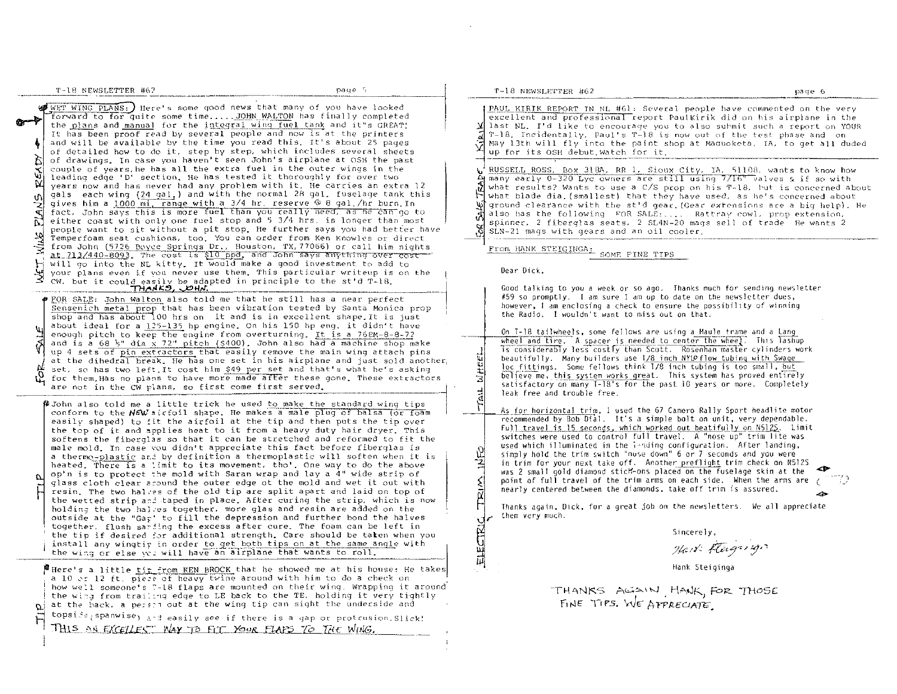$T-18$  NEWSLETTER  $#62$  , we have  $T-18$  ,  $P49e-5$ 

WET WING PLANS: Here's some good news that many of you have looked<br>forward to for quite some time..... JOHN WALTON has finally completed<br>the plans and manual for the integral wing fuel tank and it's GREAT! ;  $\mathfrak{p}$ w couple of years, he has all the cattle rate of the outer wings in the forward to for quite some time..... JOHN WALTON has finally completed the plans and manual for the integral wing fuel tank and it"s GREAT! at 213/440-8093. The cost is \$10 ppd. and John says anything over cost  $\rm H$ ~ It has been proof read by several people and now is at the printers and will be available by the time you read this. It's about 25 pages of detailed how to do it, step by step, which includes several sheets of drawings. In case you haven't seen John's airplane at OSH the past couple of years, he has all the extra fuel in the outer wings in the years now and has never had any problem with it. He carries an extra 12 gals each wing (24 gal.) and with the normal 28 gal. fuselage tank this gives him a 1000 mi, range with a 3/4 hr. reserve @ 8 gal./hr burn. In fact, John says this is more fuel than you really need, as he can go to either coast with only one fuel stop and 5 3/4 hrs. is longer than most people want to sit without a pit stop. He further says you had better have Temperfoam seat cushions, too. You can order from Ken Knowles or direct from John (5726 Boyce Springs Dr., Houston, TX, 77066) or call him nights will go into the NL kitty. It would make a good investment to add to your plans even if you never use them. This particular writeup is on the pour praise went it could easily be adapted in principle to the st'd T-18.<br>
THARS, DHA.

shop<br>about<br>enoug<br>and i<br>up 4<br>at th  $\phi$  FOR SALE: John Walton also told me that he still has a near perfect Sensenich metal prop that has been vibration tested by Santa Monica prop shop and has about 100 hrs on it and is in excellent shape. It is just about ideal for a  $125-135$  hp engine. On his 150 hp eng. it didn't have enough pitch to keep the engine from overturning. It is a 76EM-8-8-72 and is a 68  $\frac{1}{2}$ " dia  $\frac{1}{2}$ " pitch (\$400). John also had a machine shop make up 4 sets of pin extractors that easily remove the main wing attach pins  $\vert$ at the dihedral break. He has one set in his airplane and just sold another, set, so has two left. It cost him \$49 per set and that's what he's asking N. in the dihedral break. He has one set in his airplane and just sold another,<br>Set, so has two left.It cost him \$49 per set and that's what he's asking<br>for them. Has no plans to have more made after these gone. These extr

 $\beta$  John also told me a little trick he used to make the standard wing tips conform to the  $N_F W$  airfoil shape. He makes a male plug of balsa (or foam easily shaped) to fit the airfoil at the tip and then puts the tip over the top of it and applies heat to it from a heavy duty hair dryer. This softens the fiberglas so that it can be stretched and reformed to fit the male mold. In case you didn't appreciate this fact before fiberglas is a thermo-plastic and by definition a thermoplastic will soften when it is heated. There is a limit to its movement, tho', One way to do the above op'n is to protect the mold with Saran wrap and lay a 4" wide strip of glass cloth clear around the outer edge ot the mold and wet it out with resin. The two hal:es of the old tip are split apart and laid on top of the wetted strip and taped in place. After curing the strip, which is now holding the two halves together. more glas and resin are added on the outside at the "Gat" to fill the depression and further bond the halves together, flush sar ing the excess after cure. The foam can be left in the tip if desired for additional strength. Care should be taten when you install any wingtif in order to get both tips on at the same angle with the wing or else  $yz$  will have an alrplane that wants to roll.

F Here's a little tip from KEN BROCK that he showed me at his house: He takes a 10 er 12 ft, piece of heavy twine around with him to do a check on how well someone's "-18 flaps are mounted on their wing. Wrapping it around the wing from trailing edge to LE back to the TE. holding it very tightly  $\alpha$  at the back, a person out at the wing tip can sight the underside and  $\Box$  topsise<sub>(</sub>spanwise<sub>)</sub> and easily see if there is a gap or protrusion.Slick!

THIS AN EXCELLEST WAY TO FIT YOUR FLAPS TO THE WING.

#### '1'-18 NEWSLETTEr<. #62 page G

-; )

PAUL KIRIK REPORT IN NL #61: Several people have commented on the very excellent and professional report PaulKirik did on his airplane in the last NL. I'd like to encourage you to also surmit such a report on YOUR T-18. Incidentally. Paul's T-18 is now out of the test phase and on<br>May 13th will fly into the paint shop at Maquoketa, IA, to get all duded up for its OSH debut. Watch for it.

 $\psi^{\frac{1}{2}}$  RUSSELL ROSS, Box 318A, RR 1, Sioux City, IA, 51108, wants to know how many early 0-320 Lyc owners are still using 7/16" valves & if so with what results? Wants to use a C/S prop on his T-18, but is concerned about what blade dia. (smallest) that they have used, as he's concerned about ' ground clearance with the st'd gear. (Gear extensions are a big help). He also has the following FOR SALE: .... Rattray cowl, prop extension, spinner. 2 fiberglas seats. 2 SL4N-20 mags sell of trade He wants 2 SLN-21 mags with gears and an oil cooler.

From HANK STEIGINGA: SOME FINE TIPS

Dear Dick,

I

 $^{\dagger}$ 

궠  $\mathcal{L}$  $\vec{p}$ 

ELECTRIC

Good talking to you a week or so ago. Thanks much for sending newsletter #59 so promptly. I am sure [ am up to date on the newsletter dues, however, I am enclosing a check to ensure the possibility of winning the Radio. I wouldn't want to miss out on that.

<u>اءا إنا</u> 킈 On T-18 tailwheels, some fellows are using a Maule frame and a Lang<br>wheel and tire. A spacer is needed to center the wheel. This lashup 1s considerably less costly than Scott. Rosenhan master cylinders work beautifully. Many builders use 1/8 inch NYLO flow tubing with Swage loc fittings. Some fellows think 1/8 inch tubing is too small, but believe me, this system works great. This system has proved entirely satisfactory on many T-18's for the past 10 years or more. Completely leak free and trouble free.

As for horizontal trim, I used the 67 Camero Rally Sport headlite motor recommended by 80b Dial. It's a simple bolt on unit, very dependable. Ful) travel is 15 seconds, which worked out beatifully on N512S. Limit switches were used to control full travel. A "nose up" trim lite was used which illuminated in the landing configuration. After landing, simply hold the trim switch "nuse down" 6 or 7 seconds and you were in trim for your next take off. Another preflight trim check on N5125 was 2 small gold diamond stidf-ons placed on the fuselage skin at the point of full travel of the trim arms on each side. When the arms are ( nearly centered between the diamonds, take off trim is assured. .-  $\bullet$ 

Thanks again, Dick, for a great job on the newsletters. We all appreciate them very much.

Slncerely.

Hart Fleighton

Hank Steiginga

THANKS AGAIN, HANK, FOR THOSE FINE TIPS. WE APPRECIATE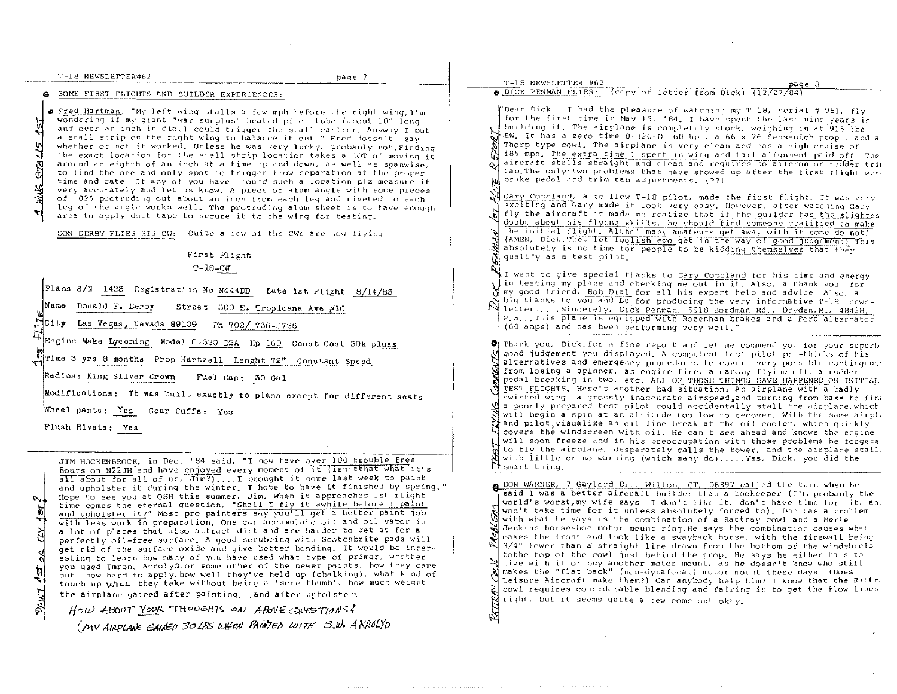|                                            | T-18 NEWSLETTER#62 |  |
|--------------------------------------------|--------------------|--|
| an and the continuum continuum of the con- |                    |  |

page 7 --~-----.-- ---,-\_.

 $\bullet$  SOME FIRST FLIGHTS AND BUILDER EXPERIENCES:

**•** Fred Hartman: "My left wing stalls a few mph before the right wing. I'm wondering if mv qiant "war surplus" heated pitnt tube (about 10" long and *over* an inch in dia ) could trigger the stall earlier, Anyway I put a stall strip on the right wing to balance it out " Fred doesn't say whether or not it worked. Unless he was very lucky, probably not.Finding the exact location for the stall strip location takes a LOT of moving it around an eighth of an inch at a time up and down, as well as spanwise. to find the one and only spot to trigger flow separation at the proper time and rate. If any of you have found such a location plz measure it *very* accurately and let us know. A piece of alum angle with some pieces of 025 protruding out about an inch from each leg and riveted to each leg of the angle works well. The protruding alum sheet is to have enough area to apply duct tape to secure it to the wing for testing.

DON DERBY FLIES HIS CW: Ouite a few of the CWs are now flying

# First Flight *T-18\_C'lr*

Plans S/N 1423 Registration No N444DD Date 1st Flight 8/14/83

Name Donald F. Deroy Street 300 E. Tropicana Ave #10

City Las Vegas, Levada 89109 Ph 702/ 736-3726

Engine Make Lycoming Model 0-320 D2A Hp 160 Const Cost 30k pluss

W<sub>T1</sub>me 3 yrs 8 months Prop Hartzell Lenght 72" Constant Speed

Radios: Klng SlIVer Crown Fuel Cap: 30 Gal

Modifications: It was built exactly to plans except for different seats

|<br>Wheel pants: <u>Yes</u> Gear Cuffs: Yes Wheel pants:  $Yes$  Gear Cuffs:  $Yes$ <br>Flush Rivets:  $Yes$ </u></u></u>

""

拉

 $\vec{r}$ 

 $\mathcal{E}$ 

JIM HOCKENBROCK, in Dec. '84 said, "I now have *over* 100 trouble free hours on N22JH and have enjoyed *every* moment of It (lsn'tthat what it's all about for all of us, Jim?} .... I brought it home last week to paint and upholster it during the winter. I hope to have it finished by spring." Hope to see you at OSH this summer, Jim. When it approaches 1st flight Hope to see you at OSH this summer, Jim, when it approaches ist flight<br>time comes the eternal question, "Shall I fly it awhile before I paint<br>and upholster it?" Most pro painters say you'll get a better paint job with less work in preparation. One can accumulate oil and oil vapor in a lot of places that also attract dirt and are harder to get at for a perfectly oil-free surface. A good scrubbing with Scotchbrite pads will get rid of the surface oxide and give better bonding. It would be inter esting to learn how many of you have used what type of primer. whether you used Imron. Acrolyd, or *some* other of the newer paints, how they came out, how hard to apply, how well they've held up (chalking). what kind of touch up With they take without being a 'sore thumb', how much weight the airplane gained after painting ... and after upholstery

How ABOUT YOUR THOUGHTS ON ABOVE GUESTIONS? *(I>1Y* A/~tA<X *641A5/J "oLJ!S 1vV/."J F,f/HTEO* M(TIf *S.u! •* .4 *NNLjIJ*  T-18 NEWSLETTER #62<br>  $\bullet$ .DICK PENMAN FLIES: (copy of letter from Dick) (12/27/84) 'Dear Dick. I had the pleasure of watching my T-18. serial # 981. fly for the first time in May IS. '84. r have spent the last nine years in building it. The airplane is completely stock. weighing in at 91S lbs, EW. It has a zero time 0-320-0 160 hp a 66 x 76 Sensenich prop and a Thorp type cowl. The airplane is very clean and has a high cruise of i85 mph. The extra time I spent in wing and tail alignment paid off. The aircraft stalls straight and clean and requires no alleron or rudder tril  $\infty$ tab. The only two problems that have showed up after the first flight were brake pedal and trim tab adjustments. (??) Gary Copeland, a fe llow T-18 pilot, made the first flight. It was very exciting and Gary made it look very easy. However, after watching Gary fly the aircraft it made me realize that if the builder has the slightes doubt about his flying skills, he should find someone qualified to make the initial flight. Altho' many amateurs get away with it some do not!<br>TAMEN, Dick.They let foolish ego get in the way of good judgement) This absolutely is no time for people to be kidding themselves that they qualify as a test pilot. I want to give special thanks to Gary Copeland for his time and energy in testing my plane and checking me out in it. Also. a thank you for  $N$  my good friend, Bob Dial for all his expert help and advice Also, a big thanks to you-"and Lu for producing the *very* informative 1'-18 news-N big thanks to you and bu for producing the very first myden, MI. 48428. P. S... This plane is equipped with Rozenhan brakes and a Ford alternator  $(60$  amps) and has been performing very well." Thank you, Dick, for a fine report and let me commend you for your superb good judgement you displayed. A competent test pilot pre-thinks of his alternatives and emergency procedures to *cover* every possible contingenc' from losing a spinner. an engine fire. a canopy flying off. a rudder pedal breaking in two. etc. ALL OF THOSE THINGS HAVE HAPPENED ON INITIAL TEST FLIGHTS. Here's another bad situation: An airplane with a badly twisted wing. a grossly inaccurate airspeed,and turning from base to fin, a poorly prepared test pilot could accidentally stall the airplane, which<br>will begin a spin at an altitude too low to recover. With the same airplane<br>and pilot, visualize an oil line break at the oil cooler, which quickly<br> covers the windscreen with oil. He can't see ahead and knows the engine<br>will soon freeze and in his preoccupation with those problems he forgets to fly the airplane, desperately calls the tower, and the airplane stall: co liy the airplane, desperately calls the tower, and the airplane st<br>with little or no warning (which many do),....Yes, Dick, you did the<br>smart thing, DON WARNER, 7 Gaylord Dr., Wilton. CT, 06397 called the turn when he said I was a better aircraft builder than a bookeeper (I'm probably the world's worst my wife says. I don't like it, don't have time for it, and won't take time for it. unless absolutely forced to). Don has a problem with what he says is the combination of a Rattray cowl and a Merle

Jenkins horseshoe motor mount ring. He says *the* combination causes what makes the front end look like a swayback horse. with the firewall being 3/4" lower than a' straight line drawn from the bottom of the windshield tothe top of the cowl just behind the prop. He says he either ha s to live with it or buy another motor mount. as he doesn't know who still makes the "flat back" (non-dynafocall motor mount these days (Does Wheisure Aircraft make them?) Can anybody help him? I know that the Rattra cowl requires considerable blending and fairing in to get the flow lines right. but it seems quite a few come out okay.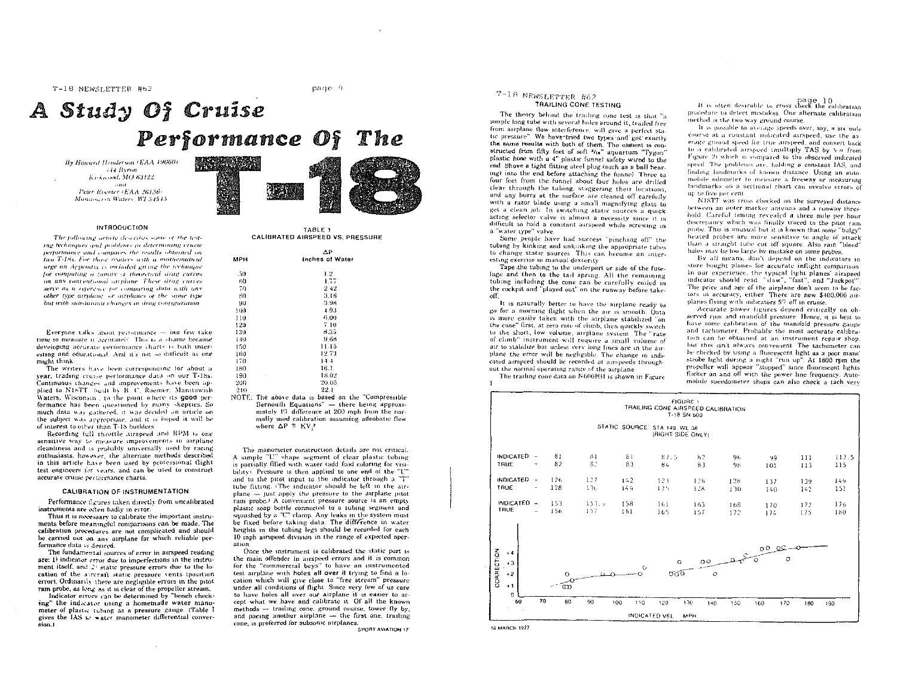T-18 NEWSLETTER #62

page 9

# A Study Of Cruise Performance Of The

MF

By Howard Henderson (EAA 19060) **H4 Byron** Kirkuood, MO 63122 - and Peter Roemer (EAA 26136) Manuton (s): Waters, W1 54515.





The following article describes some of the testing techniques and problems in determining cruise performance and compares the results obtained on two T-15s. For those readers with a mathematical arge an Arpendix is included giving the technique for computing a ramily of theoretical drag curves on any conventional attplane. These drug curves serve as a reterence for comparing data with any ather type arrabase, or overdones of the same type but with substantial changes in drag configuration.

Everyone talks about performance - but few take time to measure it accurately. This is a shame because developing accurate performance charts is both interesting and educational. And it's not so difficult as one might think.

The writers have been corresponding for about a year, trading cruise performance data on our T-18s. Continuous changes and improvements have been applied to N18TT built by B. C. Roemer. Manitowish Waters, Wisconsin, to the point where its good performance has been questioned by many skeptics. So much data was gathered, it was decided an article on the subject was appropriate, and it is hoped it will be of interest to other than T-1S builders.

Recording full throttle airspeed and RPM is one sensitive way to measure improvements in airplane cleanliness and is probably universally used by racing enthusiasts, however, the alternate methods described in this article have been used by professional flight test engineers for vears, and can be used to construct accurate cruise performance charts.

#### **CALIBRATION OF INSTRUMENTATION**

Performance figures taken directly from uncalibrated instruments are eften badly in error.

Thus it is necessary to calibrate the important instruments before meaningful comparisons can be made. The calibration procedures are not complicated and should be carried out on any airplane for which reliable performance data is desired.

The fundamental sources of error in airspeed reading are: 1) indicator error due to imperfections in the instrument itself, and 23 static pressure errors due to the location of the atternit static pressure vents (position error). Ordinarily there are negligible errors in the pitot ram probe, as long as it is clear of the propeller stream.

Indicator errors can be determined by "bench checking" the indicator using a homemade water manometer of plastic tubing as a pressure gauge. (Table I gives the IAS to water manometer differential convert.nois

TABLE 1 CALIBRATED AIRSPEED VS. PRESSURE

|          | ΔP                                                                              |  |  |  |  |  |  |
|----------|---------------------------------------------------------------------------------|--|--|--|--|--|--|
| мрн      | Inches of Water                                                                 |  |  |  |  |  |  |
| -50      | 1.2                                                                             |  |  |  |  |  |  |
| 60       | 1.77                                                                            |  |  |  |  |  |  |
| 70       | 242                                                                             |  |  |  |  |  |  |
| 80       | 3.16                                                                            |  |  |  |  |  |  |
| 90       | 3.98                                                                            |  |  |  |  |  |  |
| 100      | $-4.93$                                                                         |  |  |  |  |  |  |
| 110      | 6.00                                                                            |  |  |  |  |  |  |
| 120      | 7.10                                                                            |  |  |  |  |  |  |
| 130      | 8.35                                                                            |  |  |  |  |  |  |
| 140      | 9.66                                                                            |  |  |  |  |  |  |
| 150      | 11.15                                                                           |  |  |  |  |  |  |
| 160      | 12.73                                                                           |  |  |  |  |  |  |
| 170      | 14.4                                                                            |  |  |  |  |  |  |
| 180      | 16.1                                                                            |  |  |  |  |  |  |
| 190<br>ï | 18.02                                                                           |  |  |  |  |  |  |
| 200      | 20.05                                                                           |  |  |  |  |  |  |
| 210      | 22.1                                                                            |  |  |  |  |  |  |
| 1000     | <b>1767 LL</b><br>one and the state of the state of the<br>Louis Arrest Atlanta |  |  |  |  |  |  |

NOTE: The above data is based on the "Compressible Bernoulli Equations" - there being approximately 1% difference at 200 mph from the normally used calibration assuming adeobatic flow where  $\Delta P \cong KV_i^2$ 

The manometer construction details are not critical. A simple "U" shape segment of clear plastic tubing is partially filled with water tadd food coloring for visibility). Pressure is then applied to one end of the "L" and to the pitot input to the indicator through a "T" tube fitting. (The indicator should be left in the airplane - just apply the pressure to the airplane pitot ram probe.<sup>1</sup> A convenient pressure source is an empty plastic spap bottle connected to a tubing segment and squashed by a "C" clamp. Any leaks in the system must be fixed before taking data. The difference in water heights in the tubing legs should be recorded for each 10 mph airspeed division in the range of expected operation.

Once the instrument is calibrated the static port is the main offender in airspeed errors and it is common for the "commercial boys" to have an instrumented test airplane with holes all over it trying to find a location which will give close to "free stream" pressure under all conditions of flight. Since very few of us care to have holes all over our airplane it is easier to accept what we have and calibrate it. Of all the known methods -- trailing cone, ground course, tower fly by, and pacing another airplane - the first one, trailing cone, is preferred for subsonic airplanes.

SPORT AVIATION 17

### T-18 NEWSLETTER #62 **TRAILING CONE TESTING**

The theory behind the trailing cone test is that "a simple long tube with several holes around it, trailed free from airplane flow interference, will give a perfect stutic pressure". We have tried two types and got exactly the same results with both of them. The easiest is constructed from fifty feet of soft 3/16" aquarium "Tygon" plastic hose with a 4" plastic funnel safety wired to the end Shove a tight fitting steel plug (such as a ball bearing) into the end before attaching the funnel. Three to four feet from the funnel about four holes are drilled clear through the tubing, staggering their locations, and any burrs at the surface are cleaned off carefully with a razor blade using a small magnifying glass to get a clean job. In switching static sources a quick acting selector valve is almost a necessity since it is difficult to hold a constant airspeed while screwing in a "water type" valve.

Some people have had success "pinching off" the tubing by kinking and unkinking the appropriate tubes. to change static sources. This can become an interesting exercise in manual dexterity.

Tape the tubing to the underpart or side of the fuselage and then to the tail spring. All the remaining tubing including the cone can be carefully coiled in the cockpit and "played out" on the runway before takeoff.

It is naturally better to have the airplane ready to go for a morning flight when the air is smooth. Data is more easily taken with the airplane stabilized "on the cone" first, at zero rate of climb, then quickly switch to the short, low volume, arrplane system. The "rate of climb" instrument will require a small volume of air to stabilize but unless very long lines are in the airplane the error will be negligible. The change in indicated arrspeed should be recorded at airspeeds throughout the normal operating range of the airplane

The trailing cone data on N600HH is shown in Figure

page 10<br>It is often desirable to cross check the calibration procedure to detect mistakes. One alternate calibration method is the two way ground course.

It is possible to average speeds over, say, a six milecourse at a constant indicated airspeed, use the average ground speed for true atrspeed, and convert back to a calibrated airspeed (multiply TAS by Va from Figure 2) which is compared to the observed indicated speed. The problems are, holding a constant IAS, and finding landmarks of known distance. Using an automobile odometer to measure a freeway or measuring landmarks on a sectional chart can involve errors of up to five per cent.

N18TT was cross checked on the surveyed distance between an outer marker antenna and a runway threshold. Careful timing revealed a three mile per hour discrepancy which was finally traced to the pitot ram probe. This is unusual but it is known that some "bulgy" heated probes are more sensitive to angle of attack than a straight tube cut off square. Also rain "bleed" holes may be too large by mistake on some probes.

By all means, don't depend on the indicators in store bought planes for accurate inflight comparison In our experience, the typical hight planes' airspeed indicator should read slow", "fast", and "Jackpot" The price and age of the airplane don't seem to be factors in accuracy, either. There are new \$400,000 airplanes flying with indicators 5% off in cruise.

Accurate power figures depend critically on observed rpm and manifold pressure. Hence, it is best to have some calibration of the manifold pressure gauge and tachometer. Probably the most accurate calibration can be obtained at an instrument repair shop, but this isn't always convenient. The tachometer can be checked by using a fluorescent light as a poor mans' strobe light during a night "run up". At 1800 rpm the propeller will appear "stopped" since fluorescent lights flicker on and off with the power line frequency. Automobile speedometer shops can also check a tach very

|                                         |                                    |              |              |            | TRAILING CONE AIRSPEED CALIBRATION                 | <b>FIGURE 1</b><br>T-18 SN 600 |             |            |            |              |
|-----------------------------------------|------------------------------------|--------------|--------------|------------|----------------------------------------------------|--------------------------------|-------------|------------|------------|--------------|
|                                         |                                    |              |              |            | STATIC SOURCE: STA 149, WL 38<br>(RIGHT SIDE ONLY) |                                |             |            |            |              |
| <b>INDICATED</b><br>TRUE                | $\sim$                             | 81<br>82     | 81<br>82     | 81<br>83   | 82.5<br>84                                         | 62<br>83                       | 96<br>98    | 99<br>101  | 111<br>113 | 112.5<br>115 |
| <b>INDICATED</b><br>TRUE                | $\sim$<br>$\overline{\phantom{a}}$ | 126<br>128   | 127<br>130   | 142<br>144 | 123<br>12,                                         | 126<br>128                     | 128<br>1.10 | 137<br>140 | 139<br>142 | 149<br>152   |
| INDICATED -<br>TRUE                     | -                                  | 153<br>156   | 153.5<br>157 | 158<br>161 | 161<br>165                                         | 163<br>157                     | 168<br>172  | 170<br>174 | 172<br>175 | 176<br>180   |
| $+4$                                    |                                    |              |              |            |                                                    |                                |             | 0000       | $\circ$    |              |
| CORRECTION<br>$+3$<br>$+2$<br>$+1$<br>0 |                                    | $\circ$<br>Œ |              |            | $\circ$<br>$\mathbf C$<br>ರಕ್                      | $O$ $O$<br>$\mathbf C$         |             |            |            |              |
| 60                                      | 70                                 | 80           | 90           | 100<br>110 | 120<br><b>INDICATED VEL</b>                        | 130<br>14()<br>MPH             | 150         | 170<br>160 | 180        | 190          |

**18 MARCH 1977**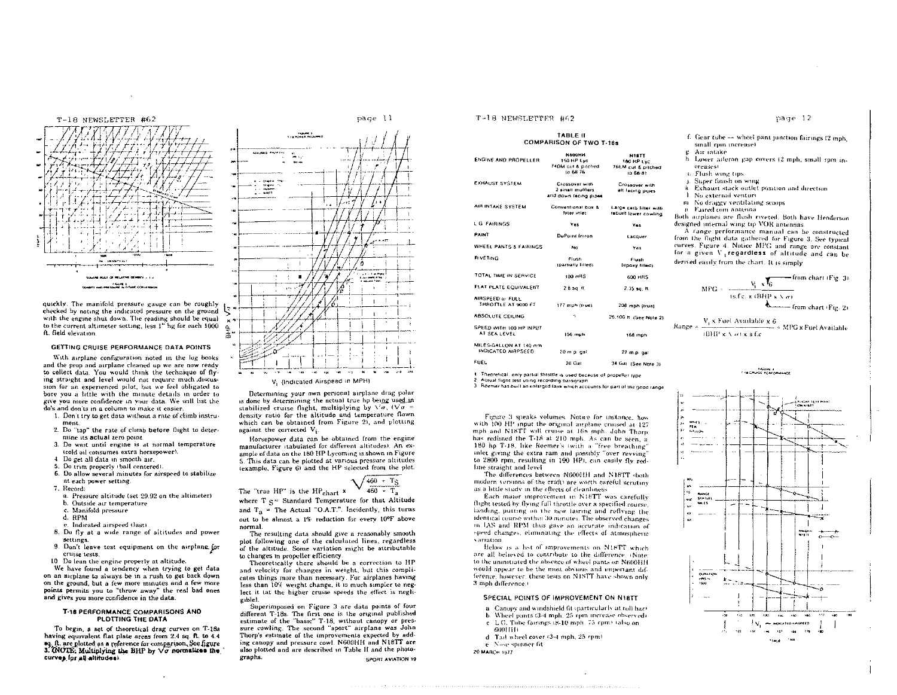

quickly. The manifold pressure gauge can be roughly checked by nating the indicated pressure on the ground with the engine shut down. The reading should be equal to the current altimeter setting, less 1" hg for each 1000 ft. field elevation

#### GETTING CRUISE PERFORMANCE DATA POINTS

With airplane configuration noted in the log books and the prop and asrplane cleaned up we are now ready to collect data. You would think the technique of flying straight and level would not require much discussion for an experienced pilot, but we feel obligated to bore you a little with the minute details in order to give you more confidence in your data. We will list the do's and don'ts in a column to make it easier

- 1. Don't try to get data without a rate of climb instrument.
- 2. Do "tap" the rate of climb before flight to determine its actual zero point.
- 3. Do wait until engine is at normal temperature trald oil cansumes extra barsenower).
- 4. Do get all data in smooth air.
- 5. Do trim properly (ball centered).
- 6. Do allow several minutes for airspeed to stabilize at each power setting.
- 7. Record:
	- a. Pressure altitude (set 29.92 on the altimeter)
	- b. Outside air temperature
	- Manifold pressure
- d. RPM
- e. Indicated airspeed (last)
- 8. Do fly at a wide range of altitudes and power settings.
- 9. Don't leave test equipment on the airplane for cruise tests.
- 10. Do lean the engine properly at altitude.

We have found a tendency when trying to get data on an airplane to always be in a rush to get back down on the ground, but a few more minutes and a few more points permits you to "throw away" the real bad ones and gives you more confidence in the data.

#### T-18 PERFORMANCE COMPARISONS AND PLOTTING THE DATA

To begin, a set of theoretical drag curves on T-18a having equivalent flat plate areas from 2.4 sq. ft. to 4.4 eq. ft. are plotted as a reference for comparison. See figure<br>3. CNOTE: Multiplying the BHP by  $\sqrt{\sigma}$  normalizes the curves for all altitudes).

# page 11



V. (indicated Airspeed in MPH)

풂

Determining your own personal airplane drag polar is done by determining the actual true hp being used in stabilized cruise flight, multiplying by  $\sqrt{\sigma}$ ,  $(\sqrt{\sigma} =$ density ratio for the altitude and temperature flown which can be obtained from Figure 2), and plotting against the corrected V<sub>i</sub>.

Horsepower data can be obtained from the engine manufacturer itabulated for different altitudes). An example of data on the 180 HP Lycoming is shown in Figure 5. This data can be plotted at various pressure altitudes (example, Figure 6) and the HP selected from the plot.

The "true HP" is the HP<sub>chart</sub>  $\sqrt{\frac{460 + T_S}{460 - T_a}}$ where  $T \leq$  Standard Temperature for that Altitude and  $T_a$  = The Actual "O.A.T.". Incidently, this turns out to be almost a 1% reduction for every 10°F above normal.

The resulting data should give a reasonably smooth plot following one of the calculated lines, regardless of the altitude. Some variation might be attributable to changes in propeller efficiency.

Theoretically there should be a correction to HP and velocity for changes in weight, but this complicates things more than necessary For airplanes having less than 10% weight change, it is much simpler to neglect it tat the higher cruise speeds the effect is negligible).

Superimposed on Figure 3 are data points of four different T-18s. The first one is the original published estimate of the "basic" T-18, without canopy or pressure cowling. The second "sport" airplane was John Thorp's estimate of the improvements expected by adding canopy and pressure cowl. N600HH and N18TT are also plotted and are described in Table II and the photographs. SPORT AVIATION 19

# T-18 NEWSLETTER #62

### TABLE II **COMPARISON OF TWO T-18s**

| <b>ENGINE AND PROPELLER</b>                 | N600HK<br>150 HP Lyc<br>740M cut & pitched<br>to 66 76      | <b>NISTT</b><br>180 HP Lyc<br>766 M cut & pitched<br>ta 66-81 |  |  |
|---------------------------------------------|-------------------------------------------------------------|---------------------------------------------------------------|--|--|
| <b>EXHAUST SYSTEM</b>                       | Crossover with<br>2 small mufflers<br>and down facing pipes | Crossover with<br>alt facing pipes                            |  |  |
| AIR INTAKE SYSTEM.                          | Conventional box &<br>filter inter-                         | Large carb lifter with<br>rabuilt lower cowling               |  |  |
| L G FAIRINGS                                | Yes                                                         | Ves.                                                          |  |  |
| PAINT                                       | DuPoint Imron.                                              | Lacquer                                                       |  |  |
| WHEEL PANTS & FAIRINGS                      | No                                                          | Yas                                                           |  |  |
| <b>RIVETING</b>                             | <b>Flush</b><br>roarnathr filled).                          | <b>Flush</b><br><b>tepony filled)</b>                         |  |  |
| TOTAL TIME IN SERVICE                       | 100 HPS                                                     | 600 HR5                                                       |  |  |
| FLAT PLATE EQUIVALENT                       | $2.8$ sq. ft.                                               | $2.35$ sq. ft.                                                |  |  |
| AIRSPEED to FULL<br>THROTTLE AT 9000 FT     | 177 moh (frue)                                              | 208 mph (true)                                                |  |  |
| ABSOLUTE CEILING                            | ۰                                                           | 26.100 h (See Note 2)                                         |  |  |
| SPEED WITH 100 HP INPUT<br>AT SEA LEVEL     | 156 mph                                                     | 168 moh                                                       |  |  |
| MILES-GALLON AT 140 mm<br>INDICATED MRPSEED | 20 m p gal                                                  | 27 m.p. cal                                                   |  |  |
| FUEL.                                       | 28 Gat                                                      | 34 Gal (See Note 3)                                           |  |  |

1. Theoretical, only partial throttle is used because of propeller type

2. Actual flight test using recording barograph.<br>3. Roemer has built an enlarged fank which accounts for part of the good range

Figure 3 speaks volumes. Notice for instance, how with 100 HP input the original airplane cruised at 127 mph and N18TT will cruise at 16b mph. John Thorp has redlined the T-18 at 210 mph. As can be seen, a 180 hp T-18, like Roemer's twith a "free breathing" inlet giving the extra ram and possibly "over revving" to 2800 rpm, resulting in 190 HPI, can easily fly redline straight and level

The differences between N600HH and N18TT (both modern versions of the craft) are worth careful scrutiny as a little study in the effects of cleanliness.

Each major improvement in N18TT was carefully flight tested by flying full throttle over a specified course. landing, putting on the new fairing and reflying the identical course within 30 minutes. The observed changes in IAS and RPM thus gave an accurate indication of speed changes, eliminating the effects of atmospheric variation

Below is a list of improvements on N18TT which are all believed to contribute to the difference, (Note: to the uninitiated the absence of wheel pants on N600HH would appear to be the most obvious and important difference, however, these tests on N1STT have shown only 3 mph difference.)

#### SPECIAL POINTS OF IMPROVEMENT ON N18TT

- a. Canopy and windshield fit (particularly at roll har) Wheel pants (3-4 mph. 25 rpm increase observed).
- $\mathbf{h}$ c. L.G. Tube fairings (8-10 mph. 75 rpm) talso on
- GBOLITTI.
- d. Tail wheel cover (3-4 mph, 25 rpm)
- e. Nose spinner fit.

20 MARCH 1977

## page 12

- f. Gear tube -- wheel pant junction fairings (2 mph. small rpm increase)
- 5. Air intäke
- h. Lower atleron gap covers (2 mph, small rpm in-**Creases)**
- t. Flush wing tips 3. Super finish on wing
- k. Exhaust stack outlet position and direction
- 1. No external venturi-
- m No draggy ventilating scoops
- n Faired com antenna
- Both airplanes are flush riveted. Both have Henderson designed internal wing tip VOR antennas.

A range performance manual can be constructed from the flight data gathered for Figure 3. See typical curves. Figure 4. Notice MPG and range are constant for a given V regardless of altitude and can be derived easily from the chart. It is simply

$$
MPG \approx \frac{V_i \cdot x \cdot V_6}{t s.f.c. \cdot x \cdot (BHP \cdot x \cdot x)} = \frac{from chart (Fig. 3)}{from chart (Fig. 2)}
$$

 $\text{Range} = \frac{V_1 \times \text{Fuel} \: \text{Available} \times 6}{(\text{BHP} \times \nabla \, \sigma) \times s \: \text{f.c}} \times \text{MPG} \times \text{Fuel} \: \text{Available}$ 



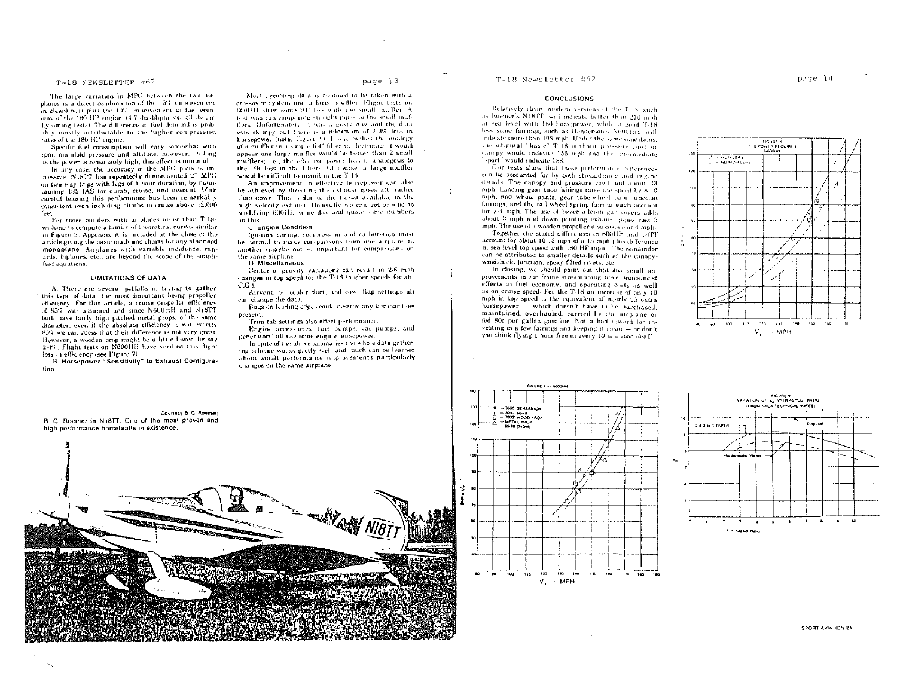# T-18 NEWSLETTER #62

The large variation in MPG between the two airplanes is a direct combination of the 15% improvement in cleanliness plus the 10% impost-ment to fuel economy of the 180 HP engine: (4.7 lbs obphr vs. 53 lbs. in Lycoming tests). The difference in fuel demand is probably mostly attributable to the higher compression ratio of the 180 HP engine.

Specific fuel consumption will vary somewhat with rpm, manifold pressure and altitude, however, as long as the power is reasonably high, this effect is minimal.

In any case, the accuracy of the MPG plots is inpressive. N18TT has repeatedly demonstrated 27 MPG on two way trips with legs of 1 hour duration, by maintaining 135 IAS for climb, cruise, and descent. With careful leaning this performance has been remarkably consistent even including climbs to cruise above 12,000 frest.

For those builders with airplanes other than T-18s wishing to compute a family of theoretical curves similar to Figure 3. Appendix A is included at the close of the article giving the basic math and charts for any standard monoplane Airplanes with variable incidence, canards, biplanes, etc., are beyond the scope of the simplified equations.

#### **LIMITATIONS OF DATA**

A. There are several pitfalls in trying to gather this type of data, the most important being propeller efficiency. For this article, a cruise propeller efficiency. of 85% was assumed and since N600HH and N18TT both have fairly high pitched metal props, of the same diameter, even if the absolute efficiency is not exactly 856 we can guess that their difference is not very great. However, a wooden prop might be a little lower, by say 2-47. Flight tests on N600HH have verified this flight loss in efficiency (see Figure 7).

**B** Horsenower "Sensitivity" to Exhaust Configuration

B. C. Roemer in N18TT. One of the most proven and

high performance homebuilts in existence.

Most Lycoming data is assumed to be taken with a crossover system and a large muffler. Flight tests on mouth show some HP loss with the small muffler. A lest was run comparing straight pipes to the small mulflers. Unfortunately, it was a gusty day and the data was skimpy but there is a minimum of 2-3% loss in horsepower (note, Figure 8). If one makes the analogy of a muffler to a simple R4" filter in electronics it would appear one large muffler would be better than 2 small mufflers; i.e., the effective power loss is analogous to the IR loss in the filters. Of course, a large muller would be difficult to install in the T-18

An improvement in effective horsepower can also be achieved by directing the exhaust gases aft, rather than down. This is due to the thrust available in the high velocity exhaust. Hopefully we can get around to modifying 600HH same day and quote some numbers. on this

#### C. Engine Condition

Ignition timing, compression and carburetion must be normal to make comparisons from one airplane to another (maybe not so important for comparisons on the same airplane).

#### D. Miscellaneous

Center of gravity variations can result in 2-6 mph changes in top speed for the T-18 thigher speeds for att.  $CA$ 

Airvent, oil cooler duct, and cowl flap settings all can change the data.

Bugs on leading edges could destroy any laminar flow present.

Trim tab settings also affect performance Engine accessories (fuel pumps, vac pumps, and

generators) all use some engine horsepower.

In some of the above anomalies the whole data gathering scheme works pretty well and much can be learned about small performance improvements particularly changes on the same airplane.

**WANN NOT** 

#### T-18 Newsletter #62

#### **CONCLUSIONS**

Relatively clean, modern versions of the T-18, such as Roemer's N18TT, will indicate better than 210 mnh at sea level with 180 horsepower, while a good T-18 less some fairings, such as Henderson's N600HH, will indicate more than 195 mph. Under the same conditions. the original "basic" T-18 without pressure cost or canopy would indicate 155 mph and the intermediate sport" would indicate 188

Our tests show that these performance differences can be accounted for by both streamlining and engine details. The canopy and pressure cost and about 33 mph. Landing gear tube fairings raise the speed by 8-10. mph, and wheel pants, gear tube-wheel tum minetion fairings, and the tail wheel spring fairing each areaint for 2-4 mph. The use of lower atteron gap covers adds about 3 mph and down pointing exhaust pipes cost 3 mph. The use of a wooden propeller also costs 3 or 4 mph.

Together the stated differences in 6001IH and 18TT account for about 10-13 mph of a 15 mph plus difference in sea level top speed with 180 HP input. The remainder can be attributed to smaller details such as the canopywindshield junction, enoxy filled rivets, etc.

In closing, we should point out that any small improvements in air frame streamhning have pronounced effects in fuel economy, and operating costs as well as on cruise speed. For the T-18 an increase of only 10 mph in top speed is the equivalent of nearly 25 extra horsepower - which doesn't have to be purchased. maintained, overhauled, carried by the airplane or fed 80c per gallon gasoline. Not a bad reward for investing in a few fairings and keeping it clean  $-$  or don't you think flying 1 hour free in every 10 is a good deal?







(Courtesy B. C. Roeman)

**IPARK PITTER** 

**SPORT AVIATION 23**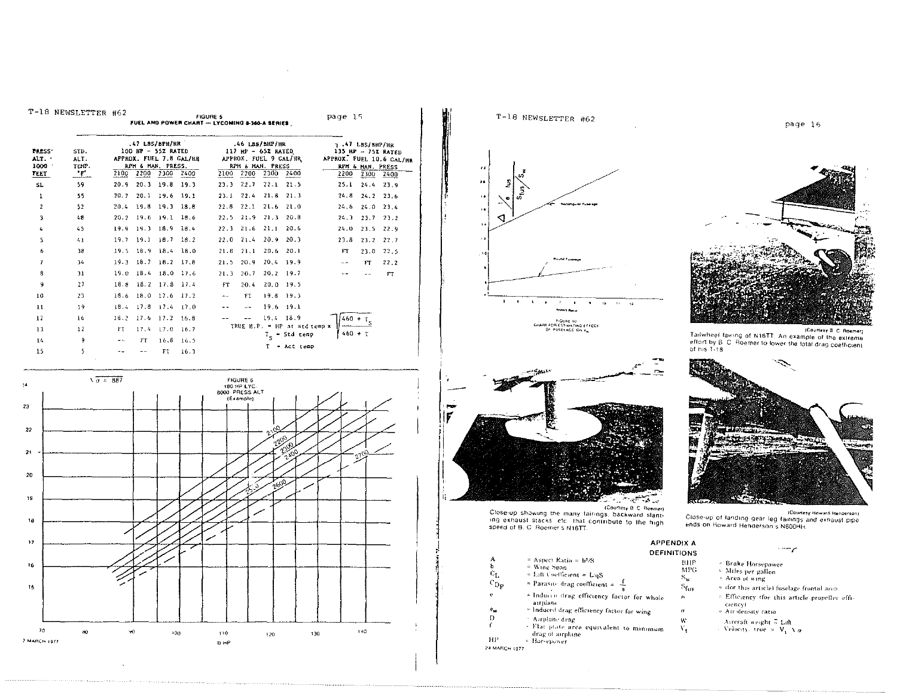|                                        | T-18 NEWSLETTER #62         |               |      |                                                                                 |                         | <b>FIGURE 5</b><br>FUEL AND POWER CHART - LYCOMING & 360-A SERIES |                   |                                                                                                          |                                  | page 15 |                                             |                                                        |
|----------------------------------------|-----------------------------|---------------|------|---------------------------------------------------------------------------------|-------------------------|-------------------------------------------------------------------|-------------------|----------------------------------------------------------------------------------------------------------|----------------------------------|---------|---------------------------------------------|--------------------------------------------------------|
| <b>PRESS</b> *<br>ALT.<br>1000<br>FEET | SID.<br>ALT.<br>TEMP.<br>•۳ |               |      | 47 LBS/BPH/HR<br>100 HP - 55% RATED<br>RPM & MAN, PRESS,<br>2100 2200 2300 2400 | APPROX. FUEL 7.8 GAL/HR |                                                                   |                   | .46 LBS/SHP/HR<br>117 HP - 65% RATED<br>APPROX, FUEL 9 GAL/HR<br>RPH & MAN. PRESS<br>2100 2200 2300 2400 |                                  | 2200    | т.47 185/8HP/НR<br>RPH & HAN, PRESS<br>2300 | 135 HP - 752 RATED<br>APPROX. FUEL 10.6 CAL/HR<br>2400 |
| SL.                                    | 59.                         | 20.9          |      | $20.3$ 19.8                                                                     | 19.3                    | 23.3                                                              | 22.7              | 22.1                                                                                                     | 21.5                             | 25.1    | 24, 4                                       | 23.9                                                   |
| 1                                      | 55                          | 20.7          | 20.1 | $19.6$ 19.1                                                                     |                         | 23.1                                                              | 22.4              |                                                                                                          | $21.8$ $21.3$                    | 24.8    | 24.2                                        | $-23.6$                                                |
| $\overline{2}$                         | 52                          |               |      | $20.4$ 19.8 19.3 18.8                                                           |                         | 22.8                                                              | 22.1              |                                                                                                          | $21.6$ 21.0                      |         | 24.6 24.0 23.4                              |                                                        |
| 3                                      | 48                          |               |      | 20.2 19.6 19.1 18.6                                                             |                         |                                                                   | $22.5$ $21.9$     | 21.3                                                                                                     | 20.8                             | 24, 3   | 23.7                                        | 23.2                                                   |
| 4                                      | 45                          |               |      | 19.9 19.3 18.9 18.4                                                             |                         |                                                                   | $22.3 - 21.6$     | $-21.1$                                                                                                  | 20.6                             | 24.0    | 23.5                                        | 22.5                                                   |
| 5                                      | 41                          |               |      | $19.7$ 19.1 18.7 18.2                                                           |                         |                                                                   | $22.0 \quad 21.4$ | $20.9$ $20.3$                                                                                            |                                  | 23.8    | 23.2                                        | 22.7                                                   |
| 6                                      | 38                          |               |      | 19.5 18.9 18.4 18.0                                                             |                         | 21.8                                                              | 21.1              | $20.6$ 20.1                                                                                              |                                  | FT      | 23.0                                        | 22.5                                                   |
| 7                                      | 34                          |               |      | 19.3 18.7 18.2 17.8                                                             |                         | 21.5                                                              | 20.9              | 20,4                                                                                                     | - 19.9                           | $ -$    | FT.                                         | 22.2                                                   |
| 8                                      | 31                          |               |      | 19.0 18.4 18.0 17.6                                                             |                         | 21.3                                                              | 20.7              | 20.2                                                                                                     | 19.7                             |         |                                             | FT                                                     |
| 9                                      | 27                          |               |      | 18.8 18.2 17.8 17.4                                                             |                         | FT                                                                | 20.4              | 20.0                                                                                                     | 19.5                             |         |                                             |                                                        |
| 10                                     | 23                          |               |      | 18.6 18.0 17.6 17.2                                                             |                         | $\overline{a}$                                                    | FT.               | 19.8 19.3                                                                                                |                                  |         |                                             |                                                        |
| 11                                     | 19                          | 18.4          |      | $17.8$ 17.4 17.0                                                                |                         |                                                                   | $\sim$ $\sim$     | 19.6                                                                                                     | 19.1                             |         |                                             |                                                        |
| 12                                     | 16                          | 18.2          |      | 17.6 17.2 16.8                                                                  |                         |                                                                   |                   | $19.4$ 18.9                                                                                              |                                  |         | $\frac{460 + T_5}{ }$                       |                                                        |
| 13                                     | 12                          | FT.           | 17.4 | $17.0$ 16.7                                                                     |                         |                                                                   |                   |                                                                                                          | TRUE H.P. $=$ HP at std temp $x$ |         | $460 + T$                                   |                                                        |
| 14                                     | 9                           | $\sim$ $\sim$ | FT   | 16.8                                                                            | 16.5                    |                                                                   |                   |                                                                                                          | $T_{\rm g}$ = Std temp           |         |                                             |                                                        |
| 15                                     | s.                          |               |      | FT.                                                                             | 16.3                    |                                                                   |                   |                                                                                                          | - Act temp                       |         |                                             |                                                        |

 $\mathcal{L}_{\mathcal{A}}$ 







(Courtesy B. C. Roemer) Close-up showing the many fairings, backward slant-<br>ing exhaust stacks letch that contribute to the high speed of B. C. Roemer's N18TT.

|                  | .                                                           |
|------------------|-------------------------------------------------------------|
|                  | DEF                                                         |
| А                | $=$ Aspect Ratio = $b2/S$                                   |
| Ь                | $=$ Wing Span                                               |
| $c_{L}$          | $\approx$ Lift Coefficient $\approx$ L/aS                   |
| $c_{\rm D}$      | $\approx$ Parasite drag coefficient $\approx$ $\frac{1}{2}$ |
| ¢                | a Induced drag efficiency factor for whole<br>arrplanc      |
| $e_{\mathbf{w}}$ | a Induced drag efficiency factor for wing                   |
| n                |                                                             |

 $\boldsymbol{\cdot}$  $\mathbf f$ 

Airplane drag<br>\* Flat plate area equivalent to minimum drag of arplane <sup>2</sup> Horsepower

 $\rm HP$ 24 MARCH 1977



page 16

(Courtesy B. C. Roemer) Tailwheel fairing of N18TT. An example of the extreme eftort by B. C. Roemer to lower the total drag coefficient<br>of his T-18



(Close-up of landing gear leg fairings and exhaust pipe ends on Howard Henderson's N600HH.

# **APPENDIX A DEFINITIONS**

**MPG** 

 $\mathbf{s}_{\mathbf{w}}$ 

 $\rm{s_{fus}}$ 

 $\mu$ 

 $\sigma$ 

 ${\bf W}$ 

 $\mathbf{v}_t$ 

- ${\rm BHP}$ = Brake Horsepower
	- \* Miles per gallon
	- $\cong$  Area of wing
	- $\approx$  (for this article) fuse<br>lage frontal area
	- Efficiency (for this article propeller efficiency)

n menge

- = Air density ratio
- Aircraft weight  $\frac{\pi}{8}$  Lift<br>Velocity, true  $\approx$  V<sub>1</sub> N  $\sigma$ 
	-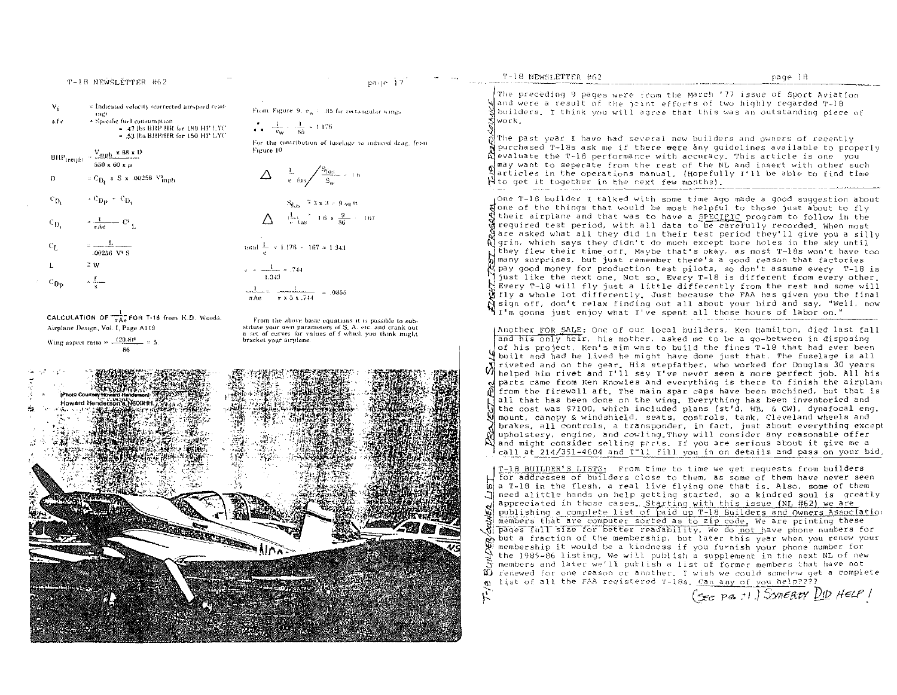| $V_1$        | * indicated velocity (corrected airspeed read-<br><b>THEF</b>                                         | From Figure 9, eq. (185 for rectangular wings)                                                                                                                                                                                                                                                                                    | Wand were a result of the joint effo<br>Nbuilders. I think you will agree th                                                                                   |
|--------------|-------------------------------------------------------------------------------------------------------|-----------------------------------------------------------------------------------------------------------------------------------------------------------------------------------------------------------------------------------------------------------------------------------------------------------------------------------|----------------------------------------------------------------------------------------------------------------------------------------------------------------|
| s.f.c        | = Specific fuel consumption<br>$=$ .47 Jbs BHP HR for 180 HP LYC<br>$= .53$ lbs BHP/HR for 150 HP LYC | $\frac{1}{1-\frac{1}{1-\omega}} \cdot \frac{1}{85} = 1.176$                                                                                                                                                                                                                                                                       | *lwork -<br>ÑThe past year I have had several ne                                                                                                               |
|              | $BHP_{\text{treqd1}} = \frac{V_{\text{mph}} \times 88 \times D}{4 \times 10^{13}}$                    | For the contribution of fuselage to induced drag, from<br>Figure 10                                                                                                                                                                                                                                                               | N purchased T-18s ask me if there wer<br>Alevaluate the T-18 performance with                                                                                  |
| $\mathbf{D}$ | $550 \times 60 \times \mu$<br>$\approx$ C <sub>D</sub> , x S x 00256 $V_{\text{mph}}$                 | $\Delta = \frac{1}{e} \frac{S_{\text{fus}}}{S_w} \approx 1.6$                                                                                                                                                                                                                                                                     | √may want to seperate from the rest.<br>츾articles in the operations manual.<br>H to get it together in the next few                                            |
| $c_{D}$      | $\cdot$ C <sub>Dp</sub> $\cdot$ C <sub>D<sub>i</sub></sub>                                            | $S_{\text{fus}}$ = 3 x 3 = 9 sq ft                                                                                                                                                                                                                                                                                                | (One T-18 builder I talked with some<br>Sone of the things that would be mos                                                                                   |
| $c_{D}$      | $\frac{1}{\pi \Lambda e}$ $C^2$ L                                                                     | $\Delta = \frac{1}{v}$ fus $v = 16 \times \frac{9}{86} = 167$                                                                                                                                                                                                                                                                     | $\operatorname{\mathfrak{g}}$ their airplane and that was to have<br>drequired test period, with all data<br>$\mathfrak A$ are asked what all they did in the) |
| $C_{\rm L}$  | $=\frac{L}{.00256 \text{ V}^2 \text{ S}}$                                                             | total $\frac{1}{a} \approx 1.176 \times 167 \approx 1.343$                                                                                                                                                                                                                                                                        | Algrin, which says they didn't do mud<br>they flew their time off. Maybe tha                                                                                   |
|              | $\tilde{=}$ W                                                                                         | $\sim 1.744$                                                                                                                                                                                                                                                                                                                      | many surprises, but just remember t<br>pay good money for production test.                                                                                     |
| $c_{\rm D}$  |                                                                                                       | $1.3 - 3.$<br>$\frac{1}{2}$ $\frac{1}{2}$ $\frac{1}{2}$ $\frac{1}{2}$ $\frac{1}{2}$ $\frac{1}{2}$ $\frac{1}{2}$ $\frac{1}{2}$ $\frac{1}{2}$ $\frac{1}{2}$ $\frac{1}{2}$ $\frac{1}{2}$ $\frac{1}{2}$ $\frac{1}{2}$ $\frac{1}{2}$ $\frac{1}{2}$ $\frac{1}{2}$ $\frac{1}{2}$ $\frac{1}{2}$ $\frac{1}{2}$ $\frac{1}{2}$ $\frac{1}{2}$ | just like the next one. Not so. Eve<br>$\sum$ Every T-18 will fly just a little $\epsilon$                                                                     |

page 17

CALCULATION OF  $\frac{1}{\pi \text{Ae}}$  FOR T-18 from K.D. Woods. Airplane Design, Vol. I, Page A119

T-18 NEWSLÉTTER #62

Wing aspect ratio =  $\frac{(20.8)^2}{\sqrt{25}}$ 

From the above basic equations it is possible to substitute your own parameters of S. A. etc. and crank nut a set of curves for values of f which you think might bracket your airplane.

 $\approx$  x 5 x  $.744$ 



 $\pi$  Ae

The preceding 9 pages were from the March '77 issue of Sport Aviation orts of two highly regarded T-18 hat this was an outstanding piece of

T-18 NEWSLETTER #62

ew builders and owners of recently re any quidelines available to properly accuracy, This article is one you of the NL and insert with other such (Hopefully I'll be able to find time months).

e time ago made a good suggestion about st helpful to those just about to fly e a SPECIPIC program to follow in the a to be carefully recorded. When most ir test period they'll give you a silly ch except bore holes in the sky until at's okay, as most T-18s won't have too there's a good reason that factories pilots, so don't assume every T-18 is ery T-18 is different from every other. differently from the rest and some will d fly a whole lot differently. Just because the FAA has given you the final N sign off, don't relax finding out all about your bird and say, "Well, now "I'm gonna just enjoy what I've spent all those hours of labor on."

(Another FOR SALE: One of our local builders, Ken Hamilton, died last fall and his only heir, his mother, asked me to be a go-between in disposing of his project. Ken's aim was to build the fines T-18 that had ever been when the project. At a sign and to find the fuse of the fuselage is all M riveted and on the gear, mis suepratuely who would be feed job. All his<br>M helped him rivet and I'll say I've never seen a more perfect job. All his riveted and on the gear. His stepfather, who worked for Douglas 30 years of parts came from Ken Knowles and everything is there to finish the airpland M from the firewall aft. The main spar caps have been machined, but that is all that has been done on the wing. Everything has been inventoried and the cost was \$7100, which included plans (st'd, WB, & CW), dynafocal eng. mount, canopy & windshield, seats, controls, tank, Cleveland wheels and brakes, all controls, a transponder, in fact, just about everything except upholstery, engine, and cowling They will consider any reasonable offer and might consider selling parts. If you are serious about it give me a call at 214/351-4604 and I"ll fill you in on details and pass on your bid.

T-18 BUILDER'S LISTS: From time to time we get requests from builders for addresses of builders close to them, as some of them have never seen  $\omega$  a T-18 in the flesh, a real live flying one that is. Also, some of them need alittle hands on help getting started, so a kindred soul is greatly appreciated in those cases. Starting with this issue (NL #62) we are<br>publishing a complete list of paid up T-18 Builders and Owners Association We prove full size for better readability. We do not have phone numbers for the membership it would be a kindness if you furnish year when you renew your members and later we'll publish a list of former members that have not renewed for one reason or another. I wish we could somehow get a complete list of all the FAA registered T-18s. Can any of you help????  $\omega$ ř,

(SEC PE 11.) SOMERTY DID HELP 1

page 18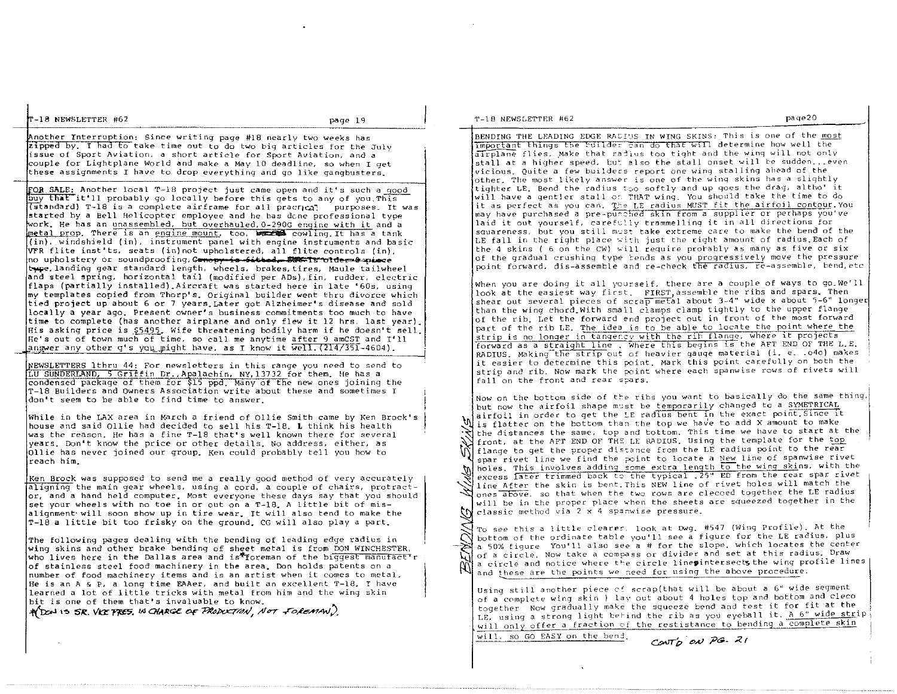Another Interruption: Since writing page #18 nearly two weeks has zipped by. I had to take time out to do two big articles for the July issue of sport Aviation. a short article for Sport Aviation, and a couple for Lightplane Wor:1d and make a May 10 deadline, so when I get these assignments I have to drop everything and go 1 ike gangbusters.

**FOR SALE:** Another local T-18 project just came open and it's such a good buy that it'll probably go locally before this gets to any of you, This (standard) T-18 is a complete airframe for all practical purposes. It was started by a Bell Helicopter employee and he has dcne professional type work. He has an unassembled, but overhauled, 0-290G engine with it and a Imetal prop. There is an engine mount, too, **we read cowling. It has a tank** (in), windshield (in), instrument panel with engine instruments and basic VFR flite inst'ts, seats (in)not upholstered, all flite controls (in), no upholstery or soundproofing, Canopy is sitied. Was is ofder a piece ~(!'. landing gear standard length. wheels. brakes. tires, Maule tailwheel and steel spring, horizontal tail (modified per ADs), fin, rudder, electric flaps (partially installed).1'Iircraft was started here in late '60s, using my templates copied from Thorp's. original builder went thru divorce which tied project up about 6 or 7 years. Later got Alzheimer's disease and sold locally a year ago. Present owner's business commitments too much to *have*  time to complete (has another airplane and only flew it 12 hrs. last year). His asking price is \$5495. Wife threatening bodily harm if he doesn't sell. He's out of town much of time, so call me anytime after 9 amCST and I'll answer any other g's you might have, as I know it  $\overline{well}. (214/351-4604)$ .

INEWSLETTERS Ithru 44: For newsletters in this range you need to send to LU SUNDERLAND, 5 Griffin Dr., Apalachin, NY, 13732 for them. He has a condensed package of them for \$15 ppd. Many of the new ones joining the T-IB Builders and Owners Association write about these and sometimes I don't seem to be able to find time to answer.

While in *the* LAX area in March a friend of Ollie Smith came by Ken Brock's house and said Ollie had decided to sell his T-IB. L think his health was the reason. He has a fine T-18 that's well known there for several years. Don't know the price or other details. No address, either, as Ollie has never joined our group. Ken could probably tell you how to reach him.

Ken Brock was supposed to send me a really good method of very accurately aligning the main gear wheels, using a cord, a couple of chairs, protractor, and a hand held computer. Most everyone these days say that you should set your wheels with no toe in or out on a T-18. A little bit of misalignment' will soon show up in tire wear. It will also tend to make the T-IB a little bit too frisky on the ground. CG will also playa part.

The following pages dealing with the bending of leading edge radius in wing skins and other brake bending of sheet metal is from DON WINCHESTER, who lives here in the Dallas area and is\*foreman of the biggest manufact'r of stainless steel food machinery in *the* area. Don holds patents on a number of food machinery items and is an artist when it comes to metal. He is an A  $\leq$  P. a long time EAAer, and built an excellent T-18. I have learned a lot of little tricks with metal from him and the wing skin bit is one of them that's invaluable to know.

 $*$  DON IS SR, VICE FRES, IS CHARGE OF PRODUCTION, NOT FOREMAN).

BENDING THE LEADING EDGE RACI'S IN WING SKINS; This is one of the most important things the *builder* can do that will determine how well the alrplane flies. Make that radius too tight and the wing will not only  $s$  stall at a higher speed, but also the stall onset will be sudden, , even vicious. Quite a few builders report one wing stalling ahead of the other. The most likely answer is one of the wing skins has a slightly tighter LE. Bend the radius too softly and up goes the drag, altho' it will have a gentler stall on THAT wing. You should take the time to do it as perfect as you can. The LE radius MUST fit the airfoil contour. You may have purchased a pre-purched skin from a supplier or perhaps you've laid it out yourself, carefully trammelling it in all directions for squareness, but you still must take extreme care to make the bend of the LE fall in the right place with just the right amount of radius. Each of the 4 skins ( 6 on the CW) will require prorably as many as five or six of the gradual crushing type 'ends as you progressively move the pressure point forward, dis-assemble and re-check the radius, re-assemble, bend, etc

When you are doing it all yourself. there are a couple of ways to go.We'll look at the easiest way first. FIRST assemble the ribs and spars. Then shear out several pieces of scrap metal about 3-4" wide x about 5-6" longer than the wing chord. With small clamps clamp tightly to the upper flange of the rib. Let the forward end project out in front of the most forward part of the rib LE. The idea is to be able to locate the point where the strip is no longer in tangency with the rib flange, where it projects forward as a straight line . Where this begins is the AFT END OF THE L.E. RADIUS, Making the strip out of heavier gauge material (i. e. . o4o) makes it easier to determine this point. Mark this point carefully on both the strip and rib, Now mark the point where each spanwise rows of rivets will fall on the front and rear spars,

Wis flatter on the bottom than the top we have to add X amount to make<br>Rithe distances the same, top and bottom, This time we have to start at the Front, at the AFT END OF THE LF RADIUS. Using the template for the top flange to get the proper distance from the LE radius point to the rear spanwise rive<br>span rivet line we find the point to locate a New line of spanwise excess later trimmed back to the typical. 25" ED from the rear spar rivet The *after* the said 15 send, this new rine of five more than the LE radius ones above. so that when the two rows are clecoed together the LE radius Now on the bottom side of the ribs you want to basically do the same thing, but now the airfoil shape must be temporarily changed to a SYMETRICAL airfoil in order to get the LE radius bent in the exact point. Since it We is flatter on the bottom than the top we have to add X amount to make front, at the AFT END OF THE LE RADIUS. Using the template for the top spar rivet line we find the point to locate a New line of spanwise rivet holes. This involves adding some extra length to the wing skins, with the line After the skin is bent. This NEW line of rivet holes will match the will be in the proper place when the sheets are squeezed together in the classic method via 2 x 4 spanwise pressure.

To see this a little clearer, look at Dwg. #547 (Wing Profile). At the bottom of the ordinate table you'll see a figure for the LE radius, plus a 50% figure You'll also see a # for the slope, which locates the center  $\mathcal{N}$ To see this a little clearer, look at Dwg. #547 (Wing Profile). At the a 50% figure You'll also see a # for the slope, which locates the center of a circle, Now take a compass or divider and set at this radius. Draw a circle and notice where the circle linepintersects the wing profile lines and these are the points we need for using the above procedure.

Using still another piece of scrap(that will be about a 6" wide segment of a complete wing skin ) lay out about 4 holes top and bottom and cleco together Now gradually make the squeeze bend and test it for fit at the : LE, using a strong light behind the rib as you eyeball it. A 6" wide strip will only offer a fraction of the restistance to bending a complete skin

will, so GO EASY on the bend.<br>Control on PG- 21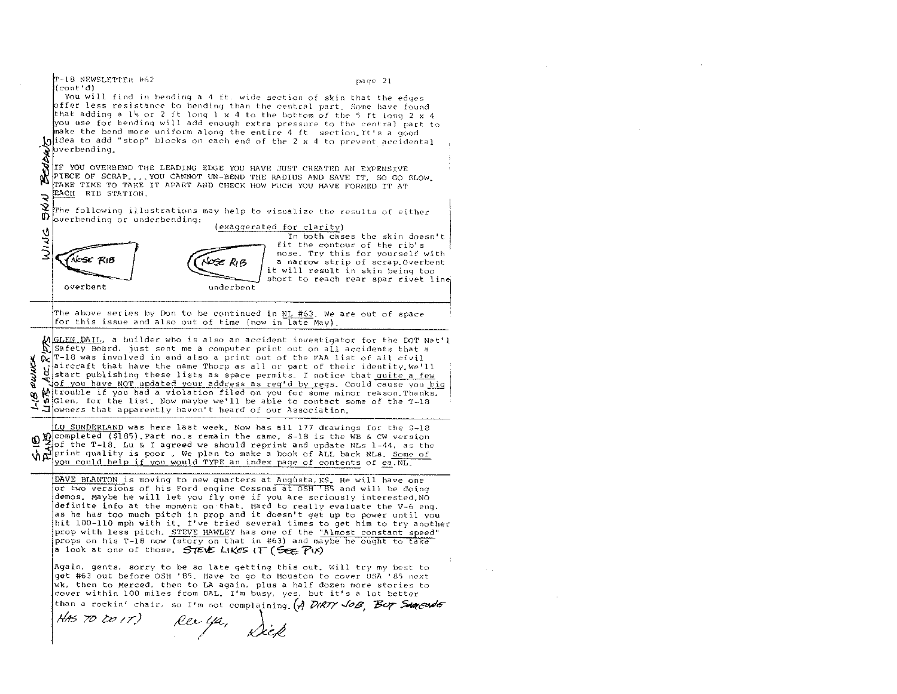T-18 NEWSLETTER #62 page 21  $(\text{cont'}d)$ You will find in bending a 4 ft. wide section of skin that the edges offer less resistance to bending than the central part, Some have found that adding a 1's or 2 ft long 1 x 4 to the bottom of the 5 ft long 2 x 4 e fuerthe below<br>
a the below of the below of the below of the below of the set of the set of the set of the set of the set of the set of the set of the set of the set of the set of the set of the set of the set of the set you use for bending will add enough extra pressure to the central part to make the bend more uniform along the entire 4 ft section It's a good bidea to add "stop" blocks on each end of the 2 x 4 to prevent accidental IF YOU OVERBEND THE LEADING EDGE YOU HAVE JUST CREATED AN EXPENSIVE PIECE OF SCRAP.... YOU CANNOT UN-BEND THE RADIUS AND SAVE IT, SO GO SLOW. TAKE TIME TO TAKE IT APART AND CHECK HOW FUCH YOU HAVE FORMED TT AT EACH RIB STATION. Ž The following illustrations may help to visualize the results of either Ø overbending or underbending: (exaggerated for clarity) どうぶ In both cases the skin doesn't fit the contour of the rib's nose, Try this for yourself with (Nose RiB ∪ose R, B a narrow strip of scrap Overbent it will result in skin being too short to reach rear spar rivet line overbent underbent The above series by Don to be continued in NL #63. We are out of space for this issue and also out of time (now in late May). MGLEN DAIL, a builder who is also an accident investigator for the DOT Nat'l<br>Safety Board, just sent me a computer print and  $\tilde{\alpha}$   $r$ -18 was involved in and also a print out of the FAA list of all civil PUMÓ aircraft that have the name Thorp as all or part of their identity. We'll Western that have the home that we have the state of the state of the state of the state of the state of the state of the state of the state of the state of the state of the state of the state of the state of the state of of you have NOT updated your address as req'd by regs. Could cause you high w trouble if you had a violation filed on you for some minor reason Thanks.  $\frac{1}{2}$ w Glen, for the list. Now maybe we'll be able to contact some of the T-18  $\Box$  owners that apparently haven't heard of our Association. LU SUNDERLAND was here last week. Now has all 177 drawings for the S-18  $\mathbf{\Phi}$  completed (\$185). Part no.s remain the same. S-18 is the WB & CW version  $\mathbf{\Phi}$  of the T-18. Lu & I agreed we should reprint and update NLs 1-44, as the When the 1-10. But a 1 agreed we should reprint and update NES 1-44, as the you could help if you would TYPE an index page of contents of ea. NL. DAVE BLANTON is moving to new quarters at Augusta, KS. He will have one or two versions of his Ford engine Cessnas at OSH 185 and will be doing demos. Maybe he will let you fly one if you are seriously interested NO definite info at the moment on that. Hard to really evaluate the V-6 eng. as he has too much pitch in prop and it doesn't get up to power until you hit 100-110 mph with it. I've tried several times to get him to try another prop with less pitch. STEVE HAWLEY has one of the "Almost constant speed" props on his T-18 now (story on that in #63) and maybe he ought to take a look at one of those. STEVE LIKES IT (See PIX) Again, gents, sorry to be so late getting this out. Will try my best to get #63 out before OSH '85. Have to go to Houston to cover USA '85 next wk, then to Merced, then to LA again, plus a half dozen more stories to cover within 100 miles from DAL. I'm busy, yes, but it's a lot better than a rockin' chair, so I'm not complaining. (A DIRTY JoB, Buy Survered 5 HAS TO DO IT) Rec ya, Siek